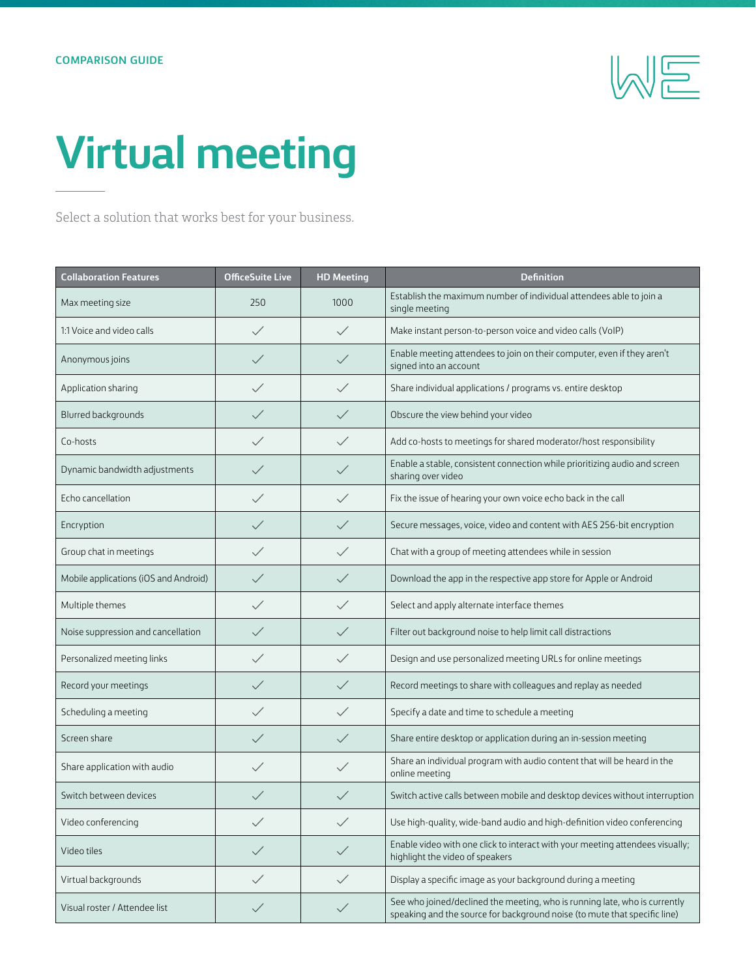

## **Virtual meeting**

Select a solution that works best for your business.

| <b>Collaboration Features</b>         | <b>OfficeSuite Live</b> | <b>HD Meeting</b> | <b>Definition</b>                                                                                                                                       |
|---------------------------------------|-------------------------|-------------------|---------------------------------------------------------------------------------------------------------------------------------------------------------|
| Max meeting size                      | 250                     | 1000              | Establish the maximum number of individual attendees able to join a<br>single meeting                                                                   |
| 1:1 Voice and video calls             | $\checkmark$            | $\checkmark$      | Make instant person-to-person voice and video calls (VoIP)                                                                                              |
| Anonymous joins                       | $\checkmark$            | $\checkmark$      | Enable meeting attendees to join on their computer, even if they aren't<br>signed into an account                                                       |
| Application sharing                   | $\checkmark$            | $\checkmark$      | Share individual applications / programs vs. entire desktop                                                                                             |
| Blurred backgrounds                   | $\checkmark$            | $\checkmark$      | Obscure the view behind your video                                                                                                                      |
| Co-hosts                              | $\checkmark$            | $\diagup$         | Add co-hosts to meetings for shared moderator/host responsibility                                                                                       |
| Dynamic bandwidth adjustments         |                         |                   | Enable a stable, consistent connection while prioritizing audio and screen<br>sharing over video                                                        |
| Echo cancellation                     | $\checkmark$            | $\checkmark$      | Fix the issue of hearing your own voice echo back in the call                                                                                           |
| Encryption                            |                         | $\checkmark$      | Secure messages, voice, video and content with AES 256-bit encryption                                                                                   |
| Group chat in meetings                | $\diagup$               | $\checkmark$      | Chat with a group of meeting attendees while in session                                                                                                 |
| Mobile applications (iOS and Android) | $\checkmark$            | $\checkmark$      | Download the app in the respective app store for Apple or Android                                                                                       |
| Multiple themes                       | $\checkmark$            | $\checkmark$      | Select and apply alternate interface themes                                                                                                             |
| Noise suppression and cancellation    |                         |                   | Filter out background noise to help limit call distractions                                                                                             |
| Personalized meeting links            |                         | $\checkmark$      | Design and use personalized meeting URLs for online meetings                                                                                            |
| Record your meetings                  | $\checkmark$            | $\checkmark$      | Record meetings to share with colleagues and replay as needed                                                                                           |
| Scheduling a meeting                  | $\checkmark$            | $\checkmark$      | Specify a date and time to schedule a meeting                                                                                                           |
| Screen share                          | $\checkmark$            | $\checkmark$      | Share entire desktop or application during an in-session meeting                                                                                        |
| Share application with audio          | $\checkmark$            |                   | Share an individual program with audio content that will be heard in the<br>online meeting                                                              |
| Switch between devices                |                         |                   | Switch active calls between mobile and desktop devices without interruption                                                                             |
| Video conferencing                    |                         | $\checkmark$      | Use high-quality, wide-band audio and high-definition video conferencing                                                                                |
| Video tiles                           | $\checkmark$            | $\checkmark$      | Enable video with one click to interact with your meeting attendees visually;<br>highlight the video of speakers                                        |
| Virtual backgrounds                   | $\checkmark$            | $\checkmark$      | Display a specific image as your background during a meeting                                                                                            |
| Visual roster / Attendee list         | $\checkmark$            | $\checkmark$      | See who joined/declined the meeting, who is running late, who is currently<br>speaking and the source for background noise (to mute that specific line) |